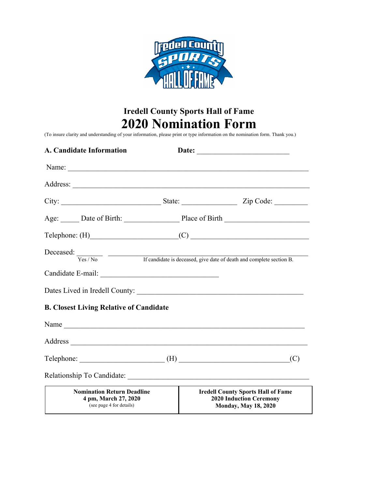

# **Iredell County Sports Hall of Fame 2020 Nomination Form**

(To insure clarity and understanding of your information, please print or type information on the nomination form. Thank you.)

| A. Candidate Information                                                                                        | Date:                                             |                                                                                                            |     |
|-----------------------------------------------------------------------------------------------------------------|---------------------------------------------------|------------------------------------------------------------------------------------------------------------|-----|
|                                                                                                                 |                                                   |                                                                                                            |     |
|                                                                                                                 |                                                   |                                                                                                            |     |
|                                                                                                                 |                                                   |                                                                                                            |     |
|                                                                                                                 | Age: Date of Birth: Place of Birth Place of Birth |                                                                                                            |     |
|                                                                                                                 | $\text{Telephone: (H)}$ (C) (C)                   |                                                                                                            |     |
| Deceased: $\frac{1}{\text{Yes}/\text{No}}$ If candidate is deceased, give date of death and complete section B. |                                                   |                                                                                                            |     |
|                                                                                                                 |                                                   |                                                                                                            |     |
|                                                                                                                 |                                                   |                                                                                                            |     |
| <b>B. Closest Living Relative of Candidate</b>                                                                  |                                                   |                                                                                                            |     |
|                                                                                                                 |                                                   |                                                                                                            |     |
|                                                                                                                 |                                                   |                                                                                                            |     |
| $\text{Telephone:}\n \underline{\hspace{2cm}}(H)$                                                               |                                                   |                                                                                                            | (C) |
|                                                                                                                 |                                                   |                                                                                                            |     |
| <b>Nomination Return Deadline</b><br>4 pm, March 27, 2020<br>(see page 4 for details)                           |                                                   | <b>Iredell County Sports Hall of Fame</b><br><b>2020 Induction Ceremony</b><br><b>Monday, May 18, 2020</b> |     |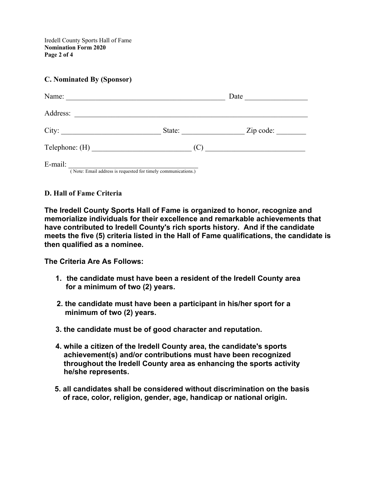Iredell County Sports Hall of Fame **Nomination Form 2020 Page 2 of 4**

### **C. Nominated By (Sponsor)**

| Name:          |                                                              | Date      |
|----------------|--------------------------------------------------------------|-----------|
| Address:       |                                                              |           |
| City:          | State:                                                       | Zip code: |
| Telephone: (H) | (C)                                                          |           |
| E-mail:        | Note: Email address is requested for timely communications.) |           |

## **D. Hall of Fame Criteria**

**The Iredell County Sports Hall of Fame is organized to honor, recognize and memorialize individuals for their excellence and remarkable achievements that have contributed to Iredell County's rich sports history. And if the candidate meets the five (5) criteria listed in the Hall of Fame qualifications, the candidate is then qualified as a nominee.**

**The Criteria Are As Follows:**

- **1. the candidate must have been a resident of the Iredell County area for a minimum of two (2) years.**
- **2. the candidate must have been a participant in his/her sport for a minimum of two (2) years.**
- **3. the candidate must be of good character and reputation.**
- **4. while a citizen of the Iredell County area, the candidate's sports achievement(s) and/or contributions must have been recognized throughout the Iredell County area as enhancing the sports activity he/she represents.**
- **5. all candidates shall be considered without discrimination on the basis of race, color, religion, gender, age, handicap or national origin.**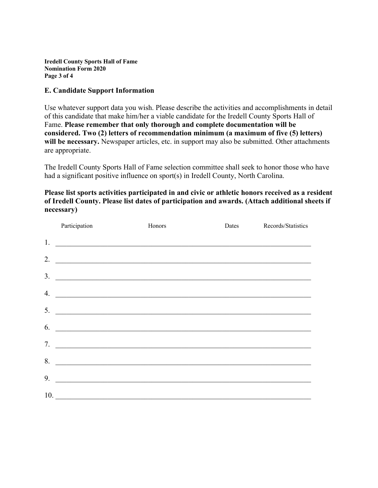**Iredell County Sports Hall of Fame Nomination Form 2020 Page 3 of 4**

#### **E. Candidate Support Information**

Use whatever support data you wish. Please describe the activities and accomplishments in detail of this candidate that make him/her a viable candidate for the Iredell County Sports Hall of Fame. **Please remember that only thorough and complete documentation will be considered. Two (2) letters of recommendation minimum (a maximum of five (5) letters)**  will be necessary. Newspaper articles, etc. in support may also be submitted. Other attachments are appropriate.

The Iredell County Sports Hall of Fame selection committee shall seek to honor those who have had a significant positive influence on sport(s) in Iredell County, North Carolina.

**Please list sports activities participated in and civic or athletic honors received as a resident of Iredell County. Please list dates of participation and awards. (Attach additional sheets if necessary)**

|     | Participation                                                                                                        | Honors                                                                                                               | Dates | Records/Statistics |
|-----|----------------------------------------------------------------------------------------------------------------------|----------------------------------------------------------------------------------------------------------------------|-------|--------------------|
| 1.  | <u> Alexandria de la contrada de la contrada de la contrada de la contrada de la contrada de la contrada de la c</u> |                                                                                                                      |       |                    |
| 2.  |                                                                                                                      |                                                                                                                      |       |                    |
| 3.  | <u> 1989 - Johann Stoff, amerikansk politiker (d. 1989)</u>                                                          |                                                                                                                      |       |                    |
| 4.  | <u> 1989 - Johann Stoff, amerikansk politiker (d. 1989)</u>                                                          |                                                                                                                      |       |                    |
| 5.  |                                                                                                                      |                                                                                                                      |       |                    |
| 6.  | <u> 1989 - Johann Stoff, amerikansk politiker (d. 1989)</u>                                                          |                                                                                                                      |       |                    |
| 7.  |                                                                                                                      | <u> 1989 - Johann Stein, mars and de Brandenburg and de Brandenburg and de Brandenburg and de Brandenburg and de</u> |       |                    |
|     | <u> Alexandria de la contrada de la contrada de la contrada de la contrada de la contrada de la contrada de la c</u> |                                                                                                                      |       |                    |
| 8.  |                                                                                                                      | <u> 1989 - Johann Barn, fransk politik (f. 1989)</u>                                                                 |       |                    |
| 9.  | <u> 1989 - Johann Stoff, amerikansk politiker (d. 1989)</u>                                                          |                                                                                                                      |       |                    |
| 10. |                                                                                                                      | <u> 1989 - Jan Sterlinger, skriuwer fan it ferstjer fan it ferstjer fan it ferstjer fan it ferstjer fan it fers</u>  |       |                    |